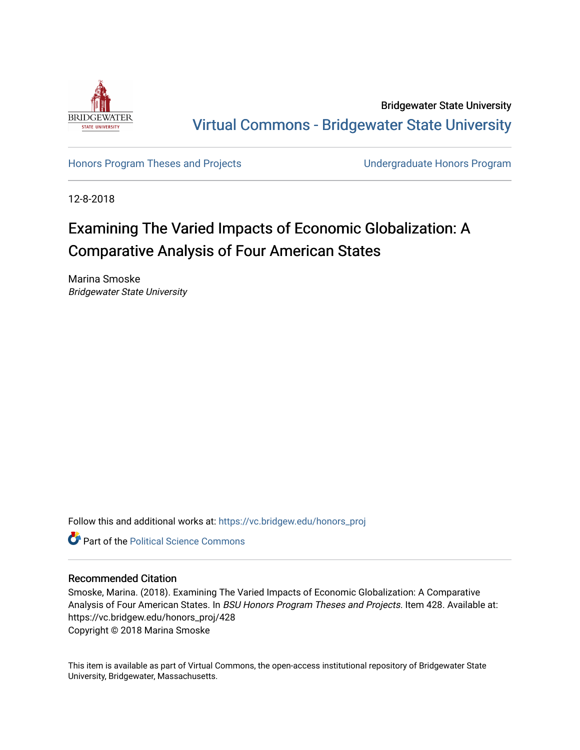

Bridgewater State University [Virtual Commons - Bridgewater State University](https://vc.bridgew.edu/) 

[Honors Program Theses and Projects](https://vc.bridgew.edu/honors_proj) [Undergraduate Honors Program](https://vc.bridgew.edu/honors) 

12-8-2018

# Examining The Varied Impacts of Economic Globalization: A Comparative Analysis of Four American States

Marina Smoske Bridgewater State University

Follow this and additional works at: [https://vc.bridgew.edu/honors\\_proj](https://vc.bridgew.edu/honors_proj?utm_source=vc.bridgew.edu%2Fhonors_proj%2F428&utm_medium=PDF&utm_campaign=PDFCoverPages)



# Recommended Citation

Smoske, Marina. (2018). Examining The Varied Impacts of Economic Globalization: A Comparative Analysis of Four American States. In BSU Honors Program Theses and Projects. Item 428. Available at: https://vc.bridgew.edu/honors\_proj/428 Copyright © 2018 Marina Smoske

This item is available as part of Virtual Commons, the open-access institutional repository of Bridgewater State University, Bridgewater, Massachusetts.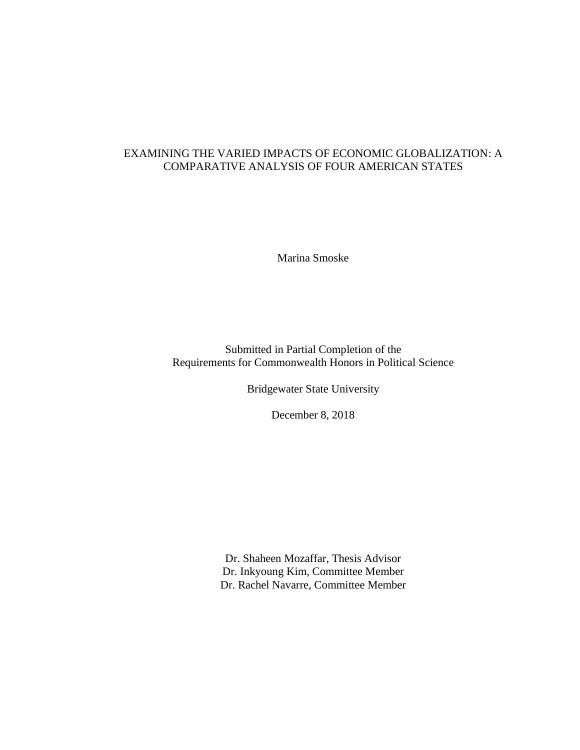# EXAMINING THE VARIED IMPACTS OF ECONOMIC GLOBALIZATION: A COMPARATIVE ANALYSIS OF FOUR AMERICAN STATES

Marina Smoske

Submitted in Partial Completion of the Requirements for Commonwealth Honors in Political Science

Bridgewater State University

December 8, 2018

Dr. Shaheen Mozaffar, Thesis Advisor Dr. Inkyoung Kim, Committee Member Dr. Rachel Navarre, Committee Member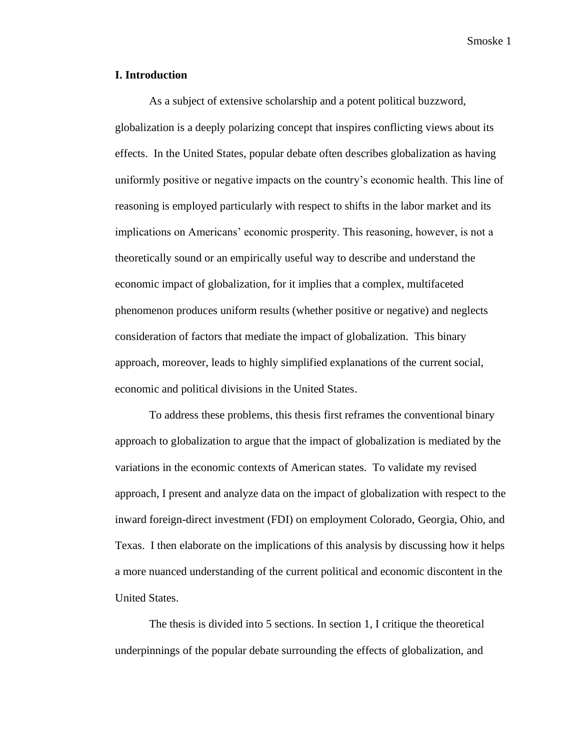# **I. Introduction**

As a subject of extensive scholarship and a potent political buzzword, globalization is a deeply polarizing concept that inspires conflicting views about its effects. In the United States, popular debate often describes globalization as having uniformly positive or negative impacts on the country's economic health. This line of reasoning is employed particularly with respect to shifts in the labor market and its implications on Americans' economic prosperity. This reasoning, however, is not a theoretically sound or an empirically useful way to describe and understand the economic impact of globalization, for it implies that a complex, multifaceted phenomenon produces uniform results (whether positive or negative) and neglects consideration of factors that mediate the impact of globalization. This binary approach, moreover, leads to highly simplified explanations of the current social, economic and political divisions in the United States.

To address these problems, this thesis first reframes the conventional binary approach to globalization to argue that the impact of globalization is mediated by the variations in the economic contexts of American states. To validate my revised approach, I present and analyze data on the impact of globalization with respect to the inward foreign-direct investment (FDI) on employment Colorado, Georgia, Ohio, and Texas. I then elaborate on the implications of this analysis by discussing how it helps a more nuanced understanding of the current political and economic discontent in the United States.

The thesis is divided into 5 sections. In section 1, I critique the theoretical underpinnings of the popular debate surrounding the effects of globalization, and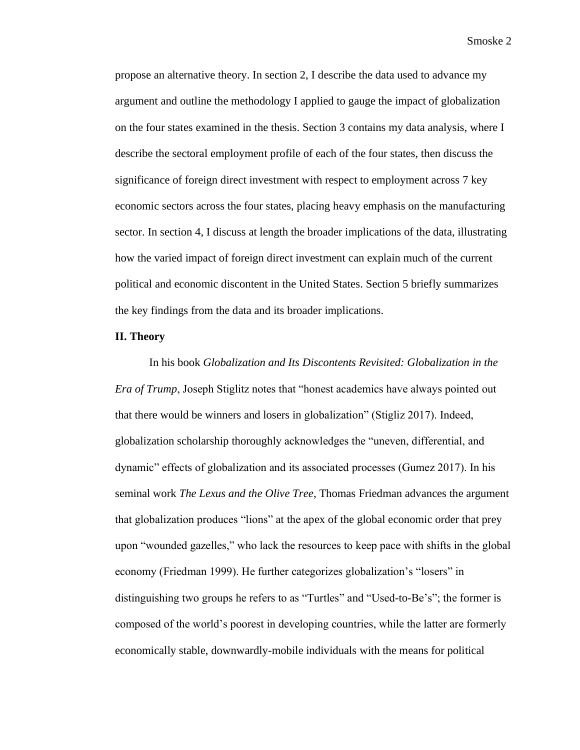propose an alternative theory. In section 2, I describe the data used to advance my argument and outline the methodology I applied to gauge the impact of globalization on the four states examined in the thesis. Section 3 contains my data analysis, where I describe the sectoral employment profile of each of the four states, then discuss the significance of foreign direct investment with respect to employment across 7 key economic sectors across the four states, placing heavy emphasis on the manufacturing sector. In section 4, I discuss at length the broader implications of the data, illustrating how the varied impact of foreign direct investment can explain much of the current political and economic discontent in the United States. Section 5 briefly summarizes the key findings from the data and its broader implications.

## **II. Theory**

In his book *Globalization and Its Discontents Revisited: Globalization in the Era of Trump*, Joseph Stiglitz notes that "honest academics have always pointed out that there would be winners and losers in globalization" (Stigliz 2017). Indeed, globalization scholarship thoroughly acknowledges the "uneven, differential, and dynamic" effects of globalization and its associated processes (Gumez 2017). In his seminal work *The Lexus and the Olive Tree*, Thomas Friedman advances the argument that globalization produces "lions" at the apex of the global economic order that prey upon "wounded gazelles," who lack the resources to keep pace with shifts in the global economy (Friedman 1999). He further categorizes globalization's "losers" in distinguishing two groups he refers to as "Turtles" and "Used-to-Be's"; the former is composed of the world's poorest in developing countries, while the latter are formerly economically stable, downwardly-mobile individuals with the means for political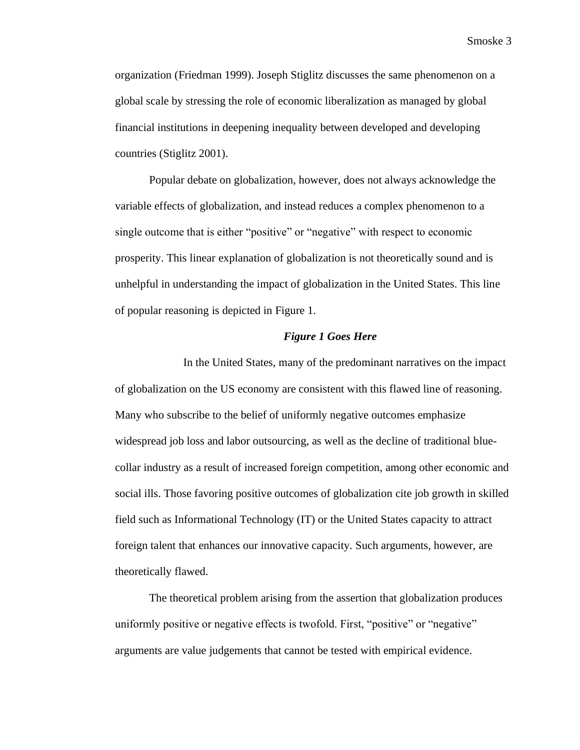organization (Friedman 1999). Joseph Stiglitz discusses the same phenomenon on a global scale by stressing the role of economic liberalization as managed by global financial institutions in deepening inequality between developed and developing countries (Stiglitz 2001).

Popular debate on globalization, however, does not always acknowledge the variable effects of globalization, and instead reduces a complex phenomenon to a single outcome that is either "positive" or "negative" with respect to economic prosperity. This linear explanation of globalization is not theoretically sound and is unhelpful in understanding the impact of globalization in the United States. This line of popular reasoning is depicted in Figure 1.

#### *Figure 1 Goes Here*

In the United States, many of the predominant narratives on the impact of globalization on the US economy are consistent with this flawed line of reasoning. Many who subscribe to the belief of uniformly negative outcomes emphasize widespread job loss and labor outsourcing, as well as the decline of traditional bluecollar industry as a result of increased foreign competition, among other economic and social ills. Those favoring positive outcomes of globalization cite job growth in skilled field such as Informational Technology (IT) or the United States capacity to attract foreign talent that enhances our innovative capacity. Such arguments, however, are theoretically flawed.

The theoretical problem arising from the assertion that globalization produces uniformly positive or negative effects is twofold. First, "positive" or "negative" arguments are value judgements that cannot be tested with empirical evidence.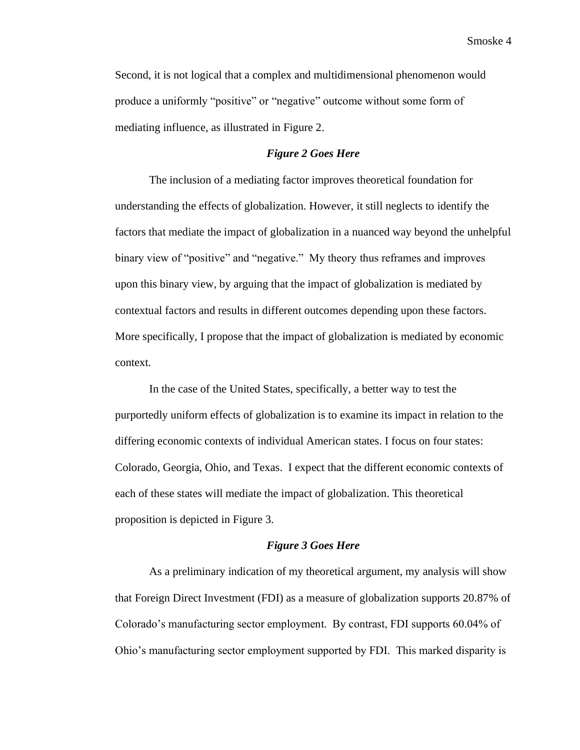Second, it is not logical that a complex and multidimensional phenomenon would produce a uniformly "positive" or "negative" outcome without some form of mediating influence, as illustrated in Figure 2.

# *Figure 2 Goes Here*

The inclusion of a mediating factor improves theoretical foundation for understanding the effects of globalization. However, it still neglects to identify the factors that mediate the impact of globalization in a nuanced way beyond the unhelpful binary view of "positive" and "negative." My theory thus reframes and improves upon this binary view, by arguing that the impact of globalization is mediated by contextual factors and results in different outcomes depending upon these factors. More specifically, I propose that the impact of globalization is mediated by economic context.

In the case of the United States, specifically, a better way to test the purportedly uniform effects of globalization is to examine its impact in relation to the differing economic contexts of individual American states. I focus on four states: Colorado, Georgia, Ohio, and Texas. I expect that the different economic contexts of each of these states will mediate the impact of globalization. This theoretical proposition is depicted in Figure 3.

# *Figure 3 Goes Here*

As a preliminary indication of my theoretical argument, my analysis will show that Foreign Direct Investment (FDI) as a measure of globalization supports 20.87% of Colorado's manufacturing sector employment. By contrast, FDI supports 60.04% of Ohio's manufacturing sector employment supported by FDI. This marked disparity is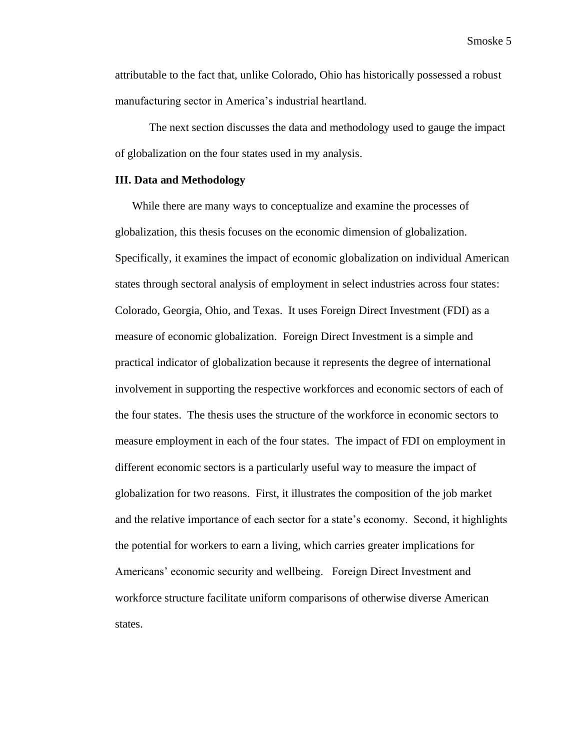attributable to the fact that, unlike Colorado, Ohio has historically possessed a robust manufacturing sector in America's industrial heartland.

The next section discusses the data and methodology used to gauge the impact of globalization on the four states used in my analysis.

#### **III. Data and Methodology**

While there are many ways to conceptualize and examine the processes of globalization, this thesis focuses on the economic dimension of globalization. Specifically, it examines the impact of economic globalization on individual American states through sectoral analysis of employment in select industries across four states: Colorado, Georgia, Ohio, and Texas. It uses Foreign Direct Investment (FDI) as a measure of economic globalization. Foreign Direct Investment is a simple and practical indicator of globalization because it represents the degree of international involvement in supporting the respective workforces and economic sectors of each of the four states. The thesis uses the structure of the workforce in economic sectors to measure employment in each of the four states. The impact of FDI on employment in different economic sectors is a particularly useful way to measure the impact of globalization for two reasons. First, it illustrates the composition of the job market and the relative importance of each sector for a state's economy. Second, it highlights the potential for workers to earn a living, which carries greater implications for Americans' economic security and wellbeing. Foreign Direct Investment and workforce structure facilitate uniform comparisons of otherwise diverse American states.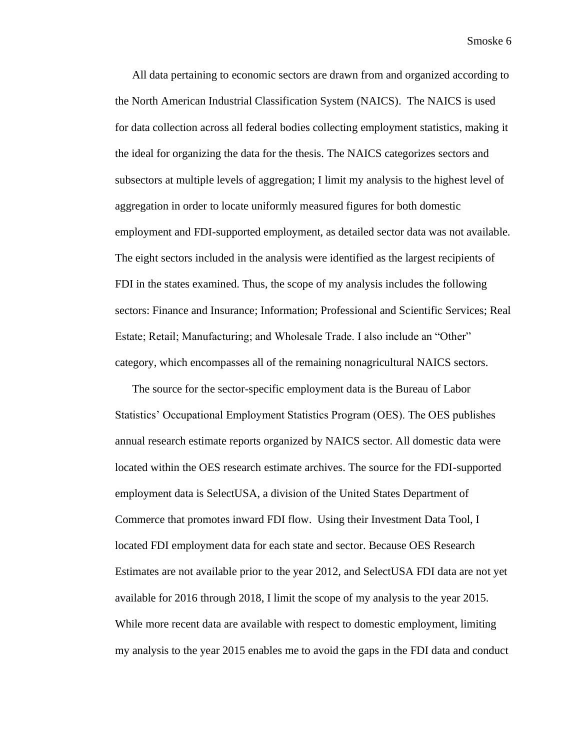All data pertaining to economic sectors are drawn from and organized according to the North American Industrial Classification System (NAICS). The NAICS is used for data collection across all federal bodies collecting employment statistics, making it the ideal for organizing the data for the thesis. The NAICS categorizes sectors and subsectors at multiple levels of aggregation; I limit my analysis to the highest level of aggregation in order to locate uniformly measured figures for both domestic employment and FDI-supported employment, as detailed sector data was not available. The eight sectors included in the analysis were identified as the largest recipients of FDI in the states examined. Thus, the scope of my analysis includes the following sectors: Finance and Insurance; Information; Professional and Scientific Services; Real Estate; Retail; Manufacturing; and Wholesale Trade. I also include an "Other" category, which encompasses all of the remaining nonagricultural NAICS sectors.

The source for the sector-specific employment data is the Bureau of Labor Statistics' Occupational Employment Statistics Program (OES). The OES publishes annual research estimate reports organized by NAICS sector. All domestic data were located within the OES research estimate archives. The source for the FDI-supported employment data is SelectUSA, a division of the United States Department of Commerce that promotes inward FDI flow. Using their Investment Data Tool, I located FDI employment data for each state and sector. Because OES Research Estimates are not available prior to the year 2012, and SelectUSA FDI data are not yet available for 2016 through 2018, I limit the scope of my analysis to the year 2015. While more recent data are available with respect to domestic employment, limiting my analysis to the year 2015 enables me to avoid the gaps in the FDI data and conduct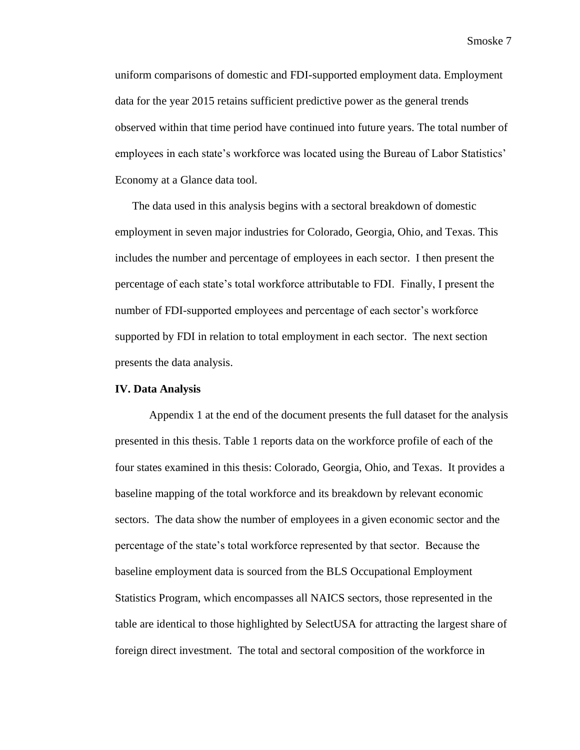uniform comparisons of domestic and FDI-supported employment data. Employment data for the year 2015 retains sufficient predictive power as the general trends observed within that time period have continued into future years. The total number of employees in each state's workforce was located using the Bureau of Labor Statistics' Economy at a Glance data tool.

The data used in this analysis begins with a sectoral breakdown of domestic employment in seven major industries for Colorado, Georgia, Ohio, and Texas. This includes the number and percentage of employees in each sector. I then present the percentage of each state's total workforce attributable to FDI. Finally, I present the number of FDI-supported employees and percentage of each sector's workforce supported by FDI in relation to total employment in each sector. The next section presents the data analysis.

#### **IV. Data Analysis**

Appendix 1 at the end of the document presents the full dataset for the analysis presented in this thesis. Table 1 reports data on the workforce profile of each of the four states examined in this thesis: Colorado, Georgia, Ohio, and Texas. It provides a baseline mapping of the total workforce and its breakdown by relevant economic sectors. The data show the number of employees in a given economic sector and the percentage of the state's total workforce represented by that sector. Because the baseline employment data is sourced from the BLS Occupational Employment Statistics Program, which encompasses all NAICS sectors, those represented in the table are identical to those highlighted by SelectUSA for attracting the largest share of foreign direct investment. The total and sectoral composition of the workforce in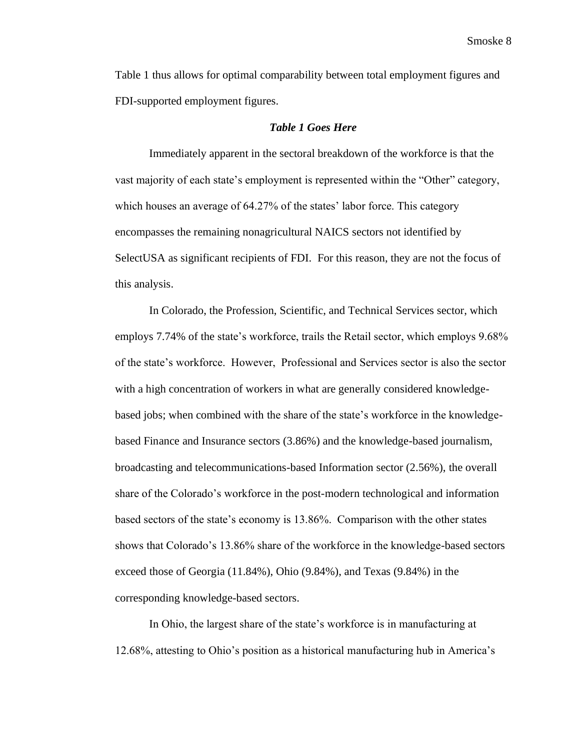Table 1 thus allows for optimal comparability between total employment figures and FDI-supported employment figures.

## *Table 1 Goes Here*

Immediately apparent in the sectoral breakdown of the workforce is that the vast majority of each state's employment is represented within the "Other" category, which houses an average of 64.27% of the states' labor force. This category encompasses the remaining nonagricultural NAICS sectors not identified by SelectUSA as significant recipients of FDI. For this reason, they are not the focus of this analysis.

In Colorado, the Profession, Scientific, and Technical Services sector, which employs 7.74% of the state's workforce, trails the Retail sector, which employs 9.68% of the state's workforce. However, Professional and Services sector is also the sector with a high concentration of workers in what are generally considered knowledgebased jobs; when combined with the share of the state's workforce in the knowledgebased Finance and Insurance sectors (3.86%) and the knowledge-based journalism, broadcasting and telecommunications-based Information sector (2.56%), the overall share of the Colorado's workforce in the post-modern technological and information based sectors of the state's economy is 13.86%. Comparison with the other states shows that Colorado's 13.86% share of the workforce in the knowledge-based sectors exceed those of Georgia (11.84%), Ohio (9.84%), and Texas (9.84%) in the corresponding knowledge-based sectors.

In Ohio, the largest share of the state's workforce is in manufacturing at 12.68%, attesting to Ohio's position as a historical manufacturing hub in America's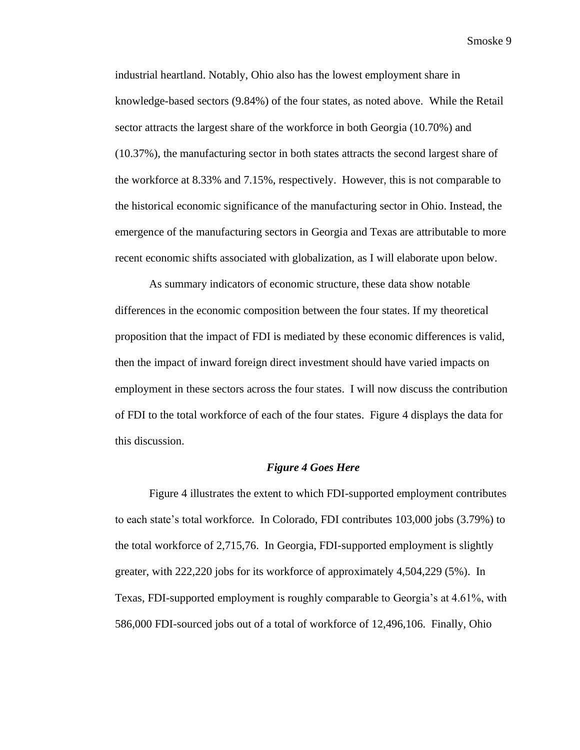industrial heartland. Notably, Ohio also has the lowest employment share in knowledge-based sectors (9.84%) of the four states, as noted above. While the Retail sector attracts the largest share of the workforce in both Georgia (10.70%) and (10.37%), the manufacturing sector in both states attracts the second largest share of the workforce at 8.33% and 7.15%, respectively. However, this is not comparable to the historical economic significance of the manufacturing sector in Ohio. Instead, the emergence of the manufacturing sectors in Georgia and Texas are attributable to more recent economic shifts associated with globalization, as I will elaborate upon below.

As summary indicators of economic structure, these data show notable differences in the economic composition between the four states. If my theoretical proposition that the impact of FDI is mediated by these economic differences is valid, then the impact of inward foreign direct investment should have varied impacts on employment in these sectors across the four states. I will now discuss the contribution of FDI to the total workforce of each of the four states. Figure 4 displays the data for this discussion.

#### *Figure 4 Goes Here*

Figure 4 illustrates the extent to which FDI-supported employment contributes to each state's total workforce. In Colorado, FDI contributes 103,000 jobs (3.79%) to the total workforce of 2,715,76. In Georgia, FDI-supported employment is slightly greater, with 222,220 jobs for its workforce of approximately 4,504,229 (5%). In Texas, FDI-supported employment is roughly comparable to Georgia's at 4.61%, with 586,000 FDI-sourced jobs out of a total of workforce of 12,496,106. Finally, Ohio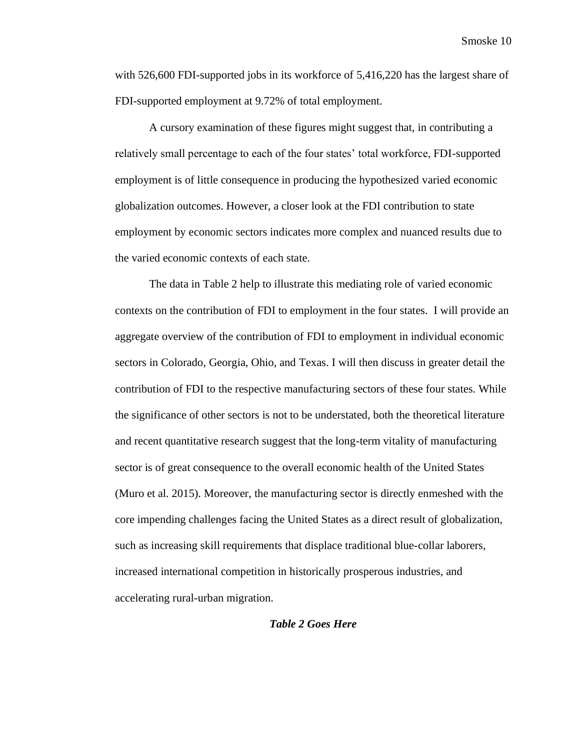with 526,600 FDI-supported jobs in its workforce of 5,416,220 has the largest share of FDI-supported employment at 9.72% of total employment.

A cursory examination of these figures might suggest that, in contributing a relatively small percentage to each of the four states' total workforce, FDI-supported employment is of little consequence in producing the hypothesized varied economic globalization outcomes. However, a closer look at the FDI contribution to state employment by economic sectors indicates more complex and nuanced results due to the varied economic contexts of each state.

The data in Table 2 help to illustrate this mediating role of varied economic contexts on the contribution of FDI to employment in the four states. I will provide an aggregate overview of the contribution of FDI to employment in individual economic sectors in Colorado, Georgia, Ohio, and Texas. I will then discuss in greater detail the contribution of FDI to the respective manufacturing sectors of these four states. While the significance of other sectors is not to be understated, both the theoretical literature and recent quantitative research suggest that the long-term vitality of manufacturing sector is of great consequence to the overall economic health of the United States (Muro et al. 2015). Moreover, the manufacturing sector is directly enmeshed with the core impending challenges facing the United States as a direct result of globalization, such as increasing skill requirements that displace traditional blue-collar laborers, increased international competition in historically prosperous industries, and accelerating rural-urban migration.

# *Table 2 Goes Here*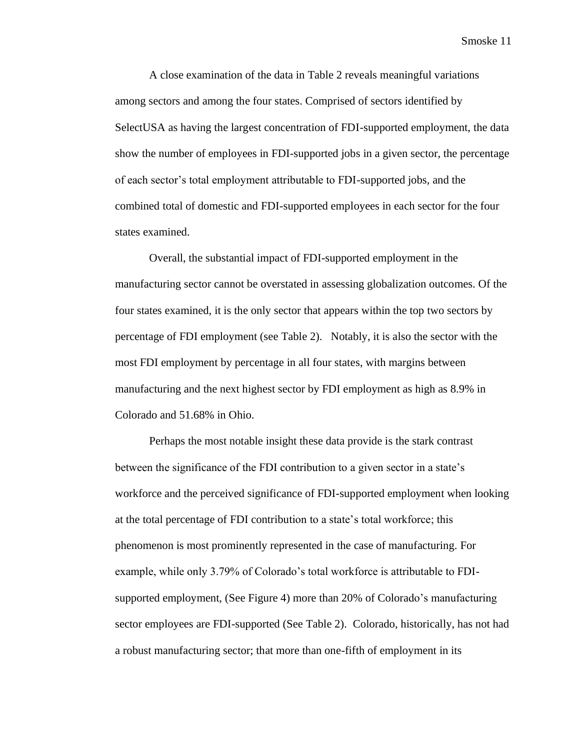A close examination of the data in Table 2 reveals meaningful variations among sectors and among the four states. Comprised of sectors identified by SelectUSA as having the largest concentration of FDI-supported employment, the data show the number of employees in FDI-supported jobs in a given sector, the percentage of each sector's total employment attributable to FDI-supported jobs, and the combined total of domestic and FDI-supported employees in each sector for the four states examined.

Overall, the substantial impact of FDI-supported employment in the manufacturing sector cannot be overstated in assessing globalization outcomes. Of the four states examined, it is the only sector that appears within the top two sectors by percentage of FDI employment (see Table 2). Notably, it is also the sector with the most FDI employment by percentage in all four states, with margins between manufacturing and the next highest sector by FDI employment as high as 8.9% in Colorado and 51.68% in Ohio.

Perhaps the most notable insight these data provide is the stark contrast between the significance of the FDI contribution to a given sector in a state's workforce and the perceived significance of FDI-supported employment when looking at the total percentage of FDI contribution to a state's total workforce; this phenomenon is most prominently represented in the case of manufacturing. For example, while only 3.79% of Colorado's total workforce is attributable to FDIsupported employment, (See Figure 4) more than 20% of Colorado's manufacturing sector employees are FDI-supported (See Table 2). Colorado, historically, has not had a robust manufacturing sector; that more than one-fifth of employment in its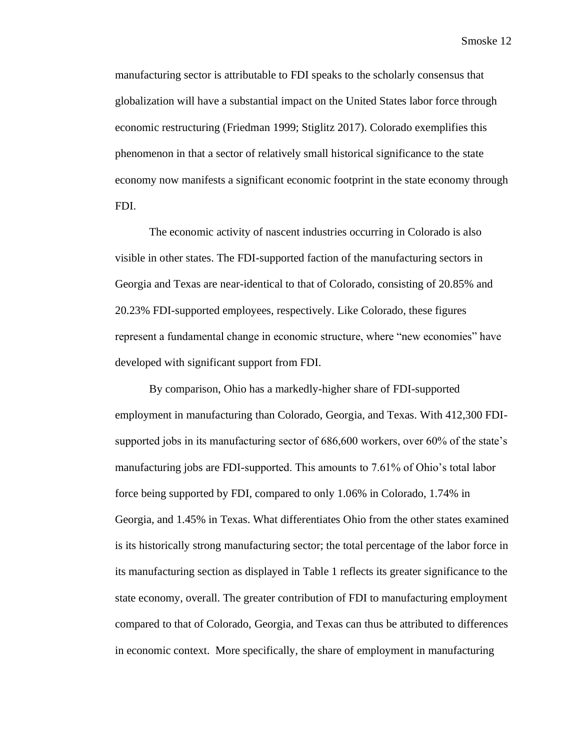manufacturing sector is attributable to FDI speaks to the scholarly consensus that globalization will have a substantial impact on the United States labor force through economic restructuring (Friedman 1999; Stiglitz 2017). Colorado exemplifies this phenomenon in that a sector of relatively small historical significance to the state economy now manifests a significant economic footprint in the state economy through FDI.

The economic activity of nascent industries occurring in Colorado is also visible in other states. The FDI-supported faction of the manufacturing sectors in Georgia and Texas are near-identical to that of Colorado, consisting of 20.85% and 20.23% FDI-supported employees, respectively. Like Colorado, these figures represent a fundamental change in economic structure, where "new economies" have developed with significant support from FDI.

By comparison, Ohio has a markedly-higher share of FDI-supported employment in manufacturing than Colorado, Georgia, and Texas. With 412,300 FDIsupported jobs in its manufacturing sector of 686,600 workers, over 60% of the state's manufacturing jobs are FDI-supported. This amounts to 7.61% of Ohio's total labor force being supported by FDI, compared to only 1.06% in Colorado, 1.74% in Georgia, and 1.45% in Texas. What differentiates Ohio from the other states examined is its historically strong manufacturing sector; the total percentage of the labor force in its manufacturing section as displayed in Table 1 reflects its greater significance to the state economy, overall. The greater contribution of FDI to manufacturing employment compared to that of Colorado, Georgia, and Texas can thus be attributed to differences in economic context. More specifically, the share of employment in manufacturing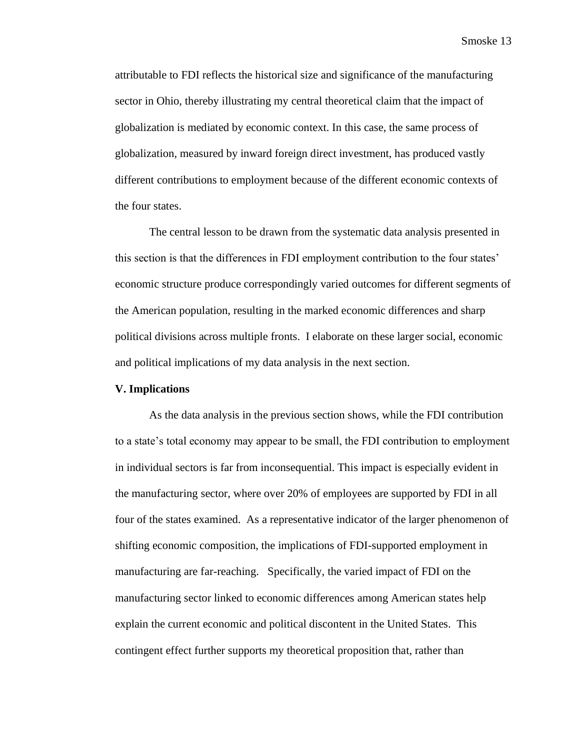attributable to FDI reflects the historical size and significance of the manufacturing sector in Ohio, thereby illustrating my central theoretical claim that the impact of globalization is mediated by economic context. In this case, the same process of globalization, measured by inward foreign direct investment, has produced vastly different contributions to employment because of the different economic contexts of the four states.

The central lesson to be drawn from the systematic data analysis presented in this section is that the differences in FDI employment contribution to the four states' economic structure produce correspondingly varied outcomes for different segments of the American population, resulting in the marked economic differences and sharp political divisions across multiple fronts. I elaborate on these larger social, economic and political implications of my data analysis in the next section.

#### **V. Implications**

As the data analysis in the previous section shows, while the FDI contribution to a state's total economy may appear to be small, the FDI contribution to employment in individual sectors is far from inconsequential. This impact is especially evident in the manufacturing sector, where over 20% of employees are supported by FDI in all four of the states examined. As a representative indicator of the larger phenomenon of shifting economic composition, the implications of FDI-supported employment in manufacturing are far-reaching. Specifically, the varied impact of FDI on the manufacturing sector linked to economic differences among American states help explain the current economic and political discontent in the United States. This contingent effect further supports my theoretical proposition that, rather than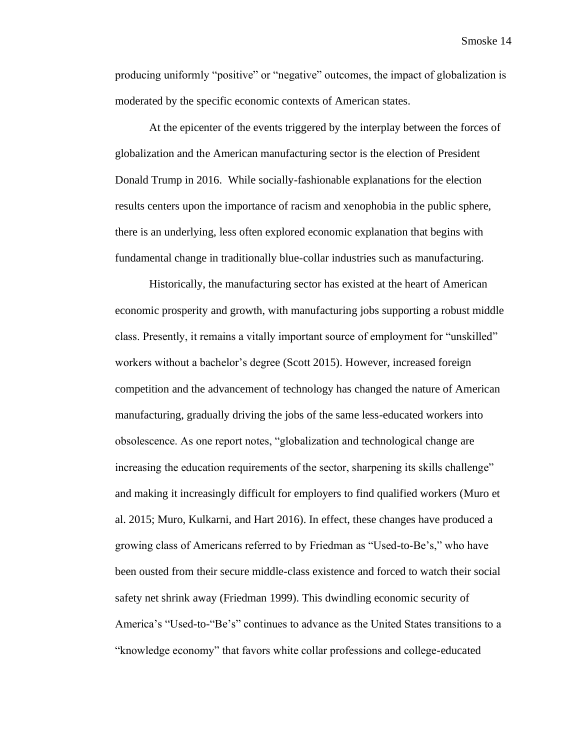producing uniformly "positive" or "negative" outcomes, the impact of globalization is moderated by the specific economic contexts of American states.

At the epicenter of the events triggered by the interplay between the forces of globalization and the American manufacturing sector is the election of President Donald Trump in 2016. While socially-fashionable explanations for the election results centers upon the importance of racism and xenophobia in the public sphere, there is an underlying, less often explored economic explanation that begins with fundamental change in traditionally blue-collar industries such as manufacturing.

Historically, the manufacturing sector has existed at the heart of American economic prosperity and growth, with manufacturing jobs supporting a robust middle class. Presently, it remains a vitally important source of employment for "unskilled" workers without a bachelor's degree (Scott 2015). However, increased foreign competition and the advancement of technology has changed the nature of American manufacturing, gradually driving the jobs of the same less-educated workers into obsolescence. As one report notes, "globalization and technological change are increasing the education requirements of the sector, sharpening its skills challenge" and making it increasingly difficult for employers to find qualified workers (Muro et al. 2015; Muro, Kulkarni, and Hart 2016). In effect, these changes have produced a growing class of Americans referred to by Friedman as "Used-to-Be's," who have been ousted from their secure middle-class existence and forced to watch their social safety net shrink away (Friedman 1999). This dwindling economic security of America's "Used-to-"Be's" continues to advance as the United States transitions to a "knowledge economy" that favors white collar professions and college-educated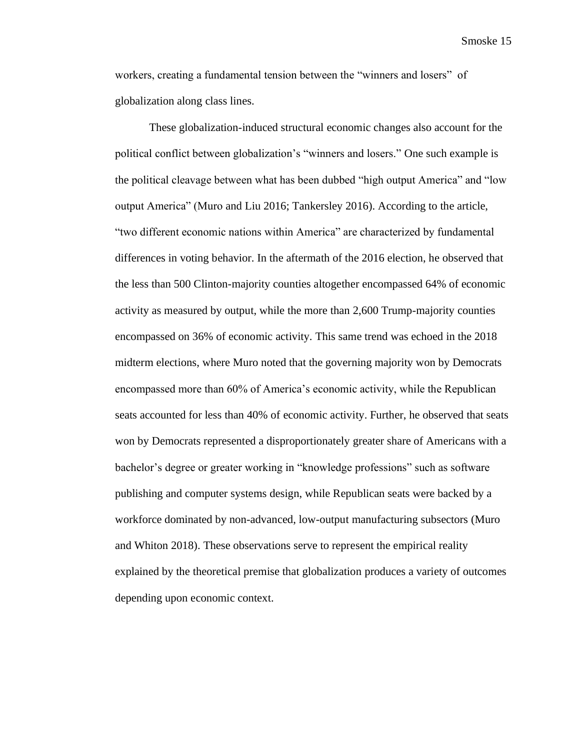workers, creating a fundamental tension between the "winners and losers" of globalization along class lines.

These globalization-induced structural economic changes also account for the political conflict between globalization's "winners and losers." One such example is the political cleavage between what has been dubbed "high output America" and "low output America" (Muro and Liu 2016; Tankersley 2016). According to the article, "two different economic nations within America" are characterized by fundamental differences in voting behavior. In the aftermath of the 2016 election, he observed that the less than 500 Clinton-majority counties altogether encompassed 64% of economic activity as measured by output, while the more than 2,600 Trump-majority counties encompassed on 36% of economic activity. This same trend was echoed in the 2018 midterm elections, where Muro noted that the governing majority won by Democrats encompassed more than 60% of America's economic activity, while the Republican seats accounted for less than 40% of economic activity. Further, he observed that seats won by Democrats represented a disproportionately greater share of Americans with a bachelor's degree or greater working in "knowledge professions" such as software publishing and computer systems design, while Republican seats were backed by a workforce dominated by non-advanced, low-output manufacturing subsectors (Muro and Whiton 2018). These observations serve to represent the empirical reality explained by the theoretical premise that globalization produces a variety of outcomes depending upon economic context.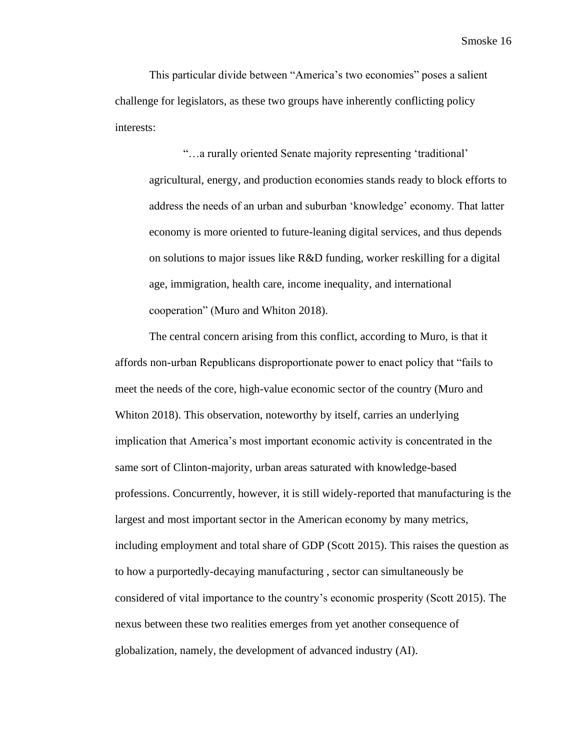This particular divide between "America's two economies" poses a salient challenge for legislators, as these two groups have inherently conflicting policy interests:

"…a rurally oriented Senate majority representing 'traditional' agricultural, energy, and production economies stands ready to block efforts to address the needs of an urban and suburban 'knowledge' economy. That latter economy is more oriented to future-leaning digital services, and thus depends on solutions to major issues like R&D funding, worker reskilling for a digital age, immigration, health care, income inequality, and international cooperation" (Muro and Whiton 2018).

The central concern arising from this conflict, according to Muro, is that it affords non-urban Republicans disproportionate power to enact policy that "fails to meet the needs of the core, high-value economic sector of the country (Muro and Whiton 2018). This observation, noteworthy by itself, carries an underlying implication that America's most important economic activity is concentrated in the same sort of Clinton-majority, urban areas saturated with knowledge-based professions. Concurrently, however, it is still widely-reported that manufacturing is the largest and most important sector in the American economy by many metrics, including employment and total share of GDP (Scott 2015). This raises the question as to how a purportedly-decaying manufacturing , sector can simultaneously be considered of vital importance to the country's economic prosperity (Scott 2015). The nexus between these two realities emerges from yet another consequence of globalization, namely, the development of advanced industry (AI).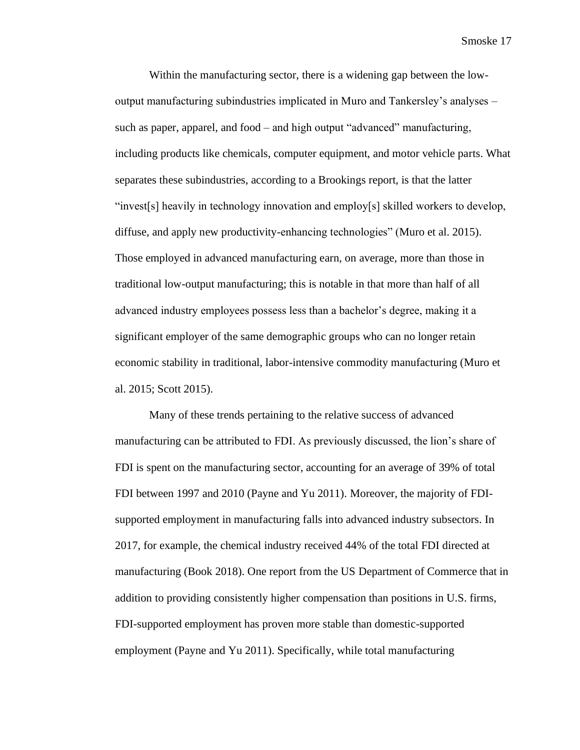Within the manufacturing sector, there is a widening gap between the lowoutput manufacturing subindustries implicated in Muro and Tankersley's analyses – such as paper, apparel, and food – and high output "advanced" manufacturing, including products like chemicals, computer equipment, and motor vehicle parts. What separates these subindustries, according to a Brookings report, is that the latter "invest[s] heavily in technology innovation and employ[s] skilled workers to develop, diffuse, and apply new productivity-enhancing technologies" (Muro et al. 2015). Those employed in advanced manufacturing earn, on average, more than those in traditional low-output manufacturing; this is notable in that more than half of all advanced industry employees possess less than a bachelor's degree, making it a significant employer of the same demographic groups who can no longer retain economic stability in traditional, labor-intensive commodity manufacturing (Muro et al. 2015; Scott 2015).

Many of these trends pertaining to the relative success of advanced manufacturing can be attributed to FDI. As previously discussed, the lion's share of FDI is spent on the manufacturing sector, accounting for an average of 39% of total FDI between 1997 and 2010 (Payne and Yu 2011). Moreover, the majority of FDIsupported employment in manufacturing falls into advanced industry subsectors. In 2017, for example, the chemical industry received 44% of the total FDI directed at manufacturing (Book 2018). One report from the US Department of Commerce that in addition to providing consistently higher compensation than positions in U.S. firms, FDI-supported employment has proven more stable than domestic-supported employment (Payne and Yu 2011). Specifically, while total manufacturing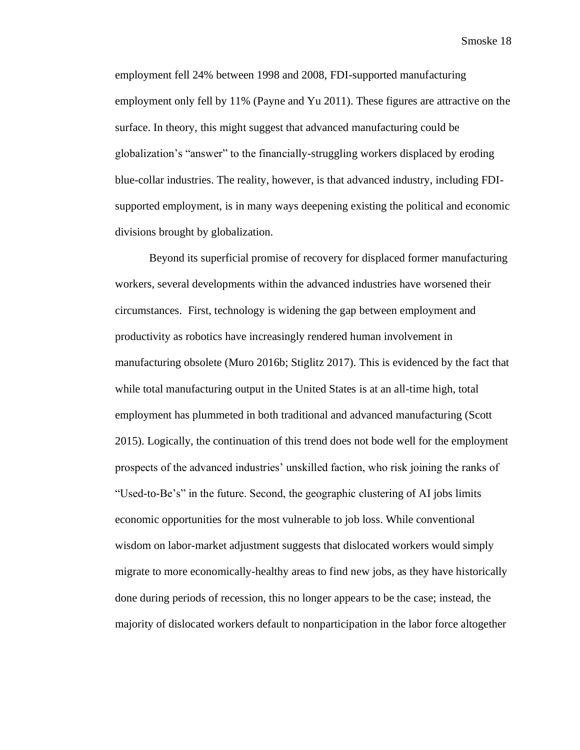employment fell 24% between 1998 and 2008, FDI-supported manufacturing employment only fell by 11% (Payne and Yu 2011). These figures are attractive on the surface. In theory, this might suggest that advanced manufacturing could be globalization's "answer" to the financially-struggling workers displaced by eroding blue-collar industries. The reality, however, is that advanced industry, including FDIsupported employment, is in many ways deepening existing the political and economic divisions brought by globalization.

Beyond its superficial promise of recovery for displaced former manufacturing workers, several developments within the advanced industries have worsened their circumstances. First, technology is widening the gap between employment and productivity as robotics have increasingly rendered human involvement in manufacturing obsolete (Muro 2016b; Stiglitz 2017). This is evidenced by the fact that while total manufacturing output in the United States is at an all-time high, total employment has plummeted in both traditional and advanced manufacturing (Scott 2015). Logically, the continuation of this trend does not bode well for the employment prospects of the advanced industries' unskilled faction, who risk joining the ranks of "Used-to-Be's" in the future. Second, the geographic clustering of AI jobs limits economic opportunities for the most vulnerable to job loss. While conventional wisdom on labor-market adjustment suggests that dislocated workers would simply migrate to more economically-healthy areas to find new jobs, as they have historically done during periods of recession, this no longer appears to be the case; instead, the majority of dislocated workers default to nonparticipation in the labor force altogether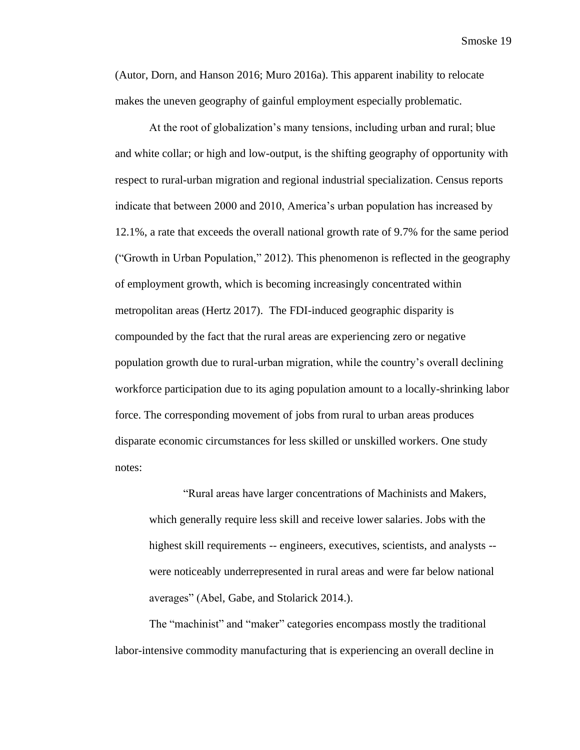(Autor, Dorn, and Hanson 2016; Muro 2016a). This apparent inability to relocate makes the uneven geography of gainful employment especially problematic.

At the root of globalization's many tensions, including urban and rural; blue and white collar; or high and low-output, is the shifting geography of opportunity with respect to rural-urban migration and regional industrial specialization. Census reports indicate that between 2000 and 2010, America's urban population has increased by 12.1%, a rate that exceeds the overall national growth rate of 9.7% for the same period ("Growth in Urban Population," 2012). This phenomenon is reflected in the geography of employment growth, which is becoming increasingly concentrated within metropolitan areas (Hertz 2017). The FDI-induced geographic disparity is compounded by the fact that the rural areas are experiencing zero or negative population growth due to rural-urban migration, while the country's overall declining workforce participation due to its aging population amount to a locally-shrinking labor force. The corresponding movement of jobs from rural to urban areas produces disparate economic circumstances for less skilled or unskilled workers. One study notes:

"Rural areas have larger concentrations of Machinists and Makers, which generally require less skill and receive lower salaries. Jobs with the highest skill requirements -- engineers, executives, scientists, and analysts - were noticeably underrepresented in rural areas and were far below national averages" (Abel, Gabe, and Stolarick 2014.).

The "machinist" and "maker" categories encompass mostly the traditional labor-intensive commodity manufacturing that is experiencing an overall decline in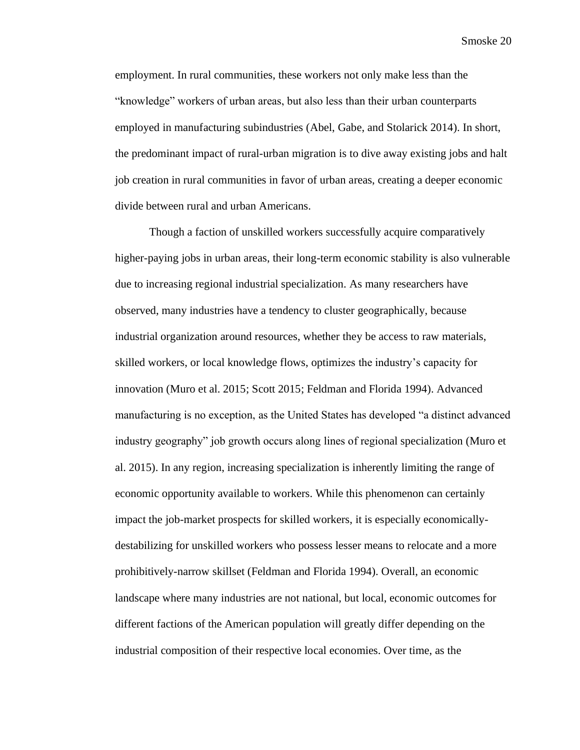employment. In rural communities, these workers not only make less than the "knowledge" workers of urban areas, but also less than their urban counterparts employed in manufacturing subindustries (Abel, Gabe, and Stolarick 2014). In short, the predominant impact of rural-urban migration is to dive away existing jobs and halt job creation in rural communities in favor of urban areas, creating a deeper economic divide between rural and urban Americans.

Though a faction of unskilled workers successfully acquire comparatively higher-paying jobs in urban areas, their long-term economic stability is also vulnerable due to increasing regional industrial specialization. As many researchers have observed, many industries have a tendency to cluster geographically, because industrial organization around resources, whether they be access to raw materials, skilled workers, or local knowledge flows, optimizes the industry's capacity for innovation (Muro et al. 2015; Scott 2015; Feldman and Florida 1994). Advanced manufacturing is no exception, as the United States has developed "a distinct advanced industry geography" job growth occurs along lines of regional specialization (Muro et al. 2015). In any region, increasing specialization is inherently limiting the range of economic opportunity available to workers. While this phenomenon can certainly impact the job-market prospects for skilled workers, it is especially economicallydestabilizing for unskilled workers who possess lesser means to relocate and a more prohibitively-narrow skillset (Feldman and Florida 1994). Overall, an economic landscape where many industries are not national, but local, economic outcomes for different factions of the American population will greatly differ depending on the industrial composition of their respective local economies. Over time, as the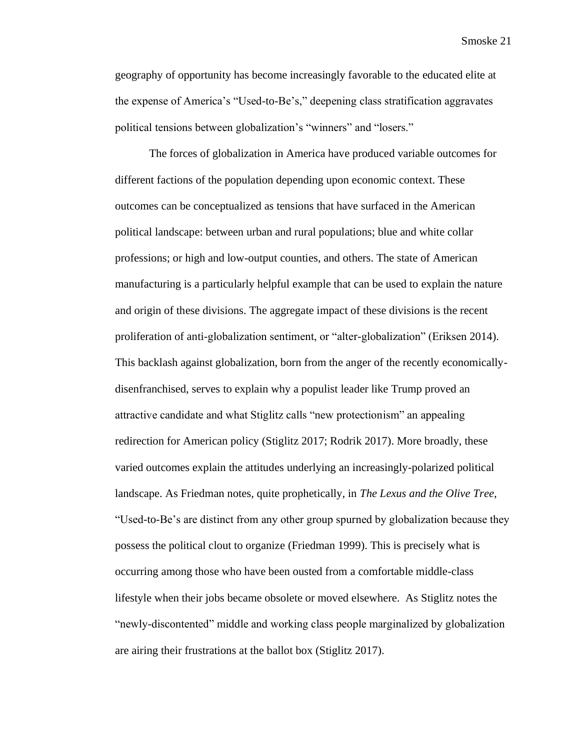geography of opportunity has become increasingly favorable to the educated elite at the expense of America's "Used-to-Be's," deepening class stratification aggravates political tensions between globalization's "winners" and "losers."

The forces of globalization in America have produced variable outcomes for different factions of the population depending upon economic context. These outcomes can be conceptualized as tensions that have surfaced in the American political landscape: between urban and rural populations; blue and white collar professions; or high and low-output counties, and others. The state of American manufacturing is a particularly helpful example that can be used to explain the nature and origin of these divisions. The aggregate impact of these divisions is the recent proliferation of anti-globalization sentiment, or "alter-globalization" (Eriksen 2014). This backlash against globalization, born from the anger of the recently economicallydisenfranchised, serves to explain why a populist leader like Trump proved an attractive candidate and what Stiglitz calls "new protectionism" an appealing redirection for American policy (Stiglitz 2017; Rodrik 2017). More broadly, these varied outcomes explain the attitudes underlying an increasingly-polarized political landscape. As Friedman notes, quite prophetically, in *The Lexus and the Olive Tree*, "Used-to-Be's are distinct from any other group spurned by globalization because they possess the political clout to organize (Friedman 1999). This is precisely what is occurring among those who have been ousted from a comfortable middle-class lifestyle when their jobs became obsolete or moved elsewhere. As Stiglitz notes the "newly-discontented" middle and working class people marginalized by globalization are airing their frustrations at the ballot box (Stiglitz 2017).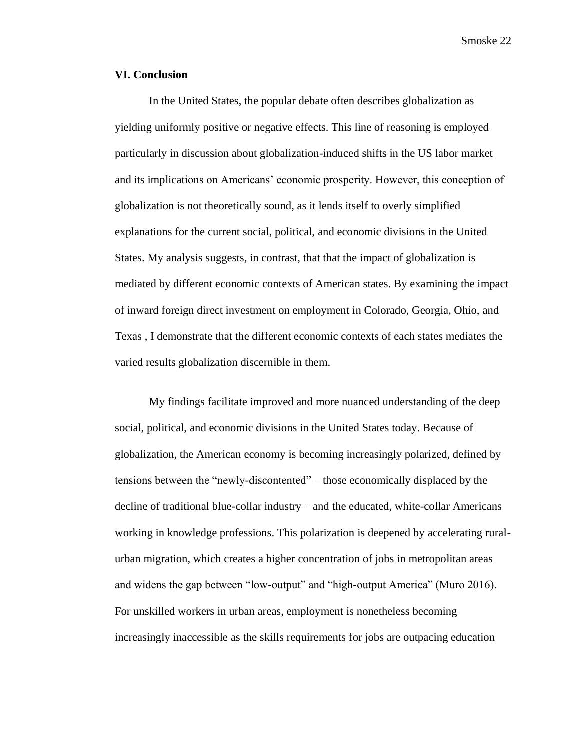# **VI. Conclusion**

In the United States, the popular debate often describes globalization as yielding uniformly positive or negative effects. This line of reasoning is employed particularly in discussion about globalization-induced shifts in the US labor market and its implications on Americans' economic prosperity. However, this conception of globalization is not theoretically sound, as it lends itself to overly simplified explanations for the current social, political, and economic divisions in the United States. My analysis suggests, in contrast, that that the impact of globalization is mediated by different economic contexts of American states. By examining the impact of inward foreign direct investment on employment in Colorado, Georgia, Ohio, and Texas , I demonstrate that the different economic contexts of each states mediates the varied results globalization discernible in them.

My findings facilitate improved and more nuanced understanding of the deep social, political, and economic divisions in the United States today. Because of globalization, the American economy is becoming increasingly polarized, defined by tensions between the "newly-discontented" – those economically displaced by the decline of traditional blue-collar industry – and the educated, white-collar Americans working in knowledge professions. This polarization is deepened by accelerating ruralurban migration, which creates a higher concentration of jobs in metropolitan areas and widens the gap between "low-output" and "high-output America" (Muro 2016). For unskilled workers in urban areas, employment is nonetheless becoming increasingly inaccessible as the skills requirements for jobs are outpacing education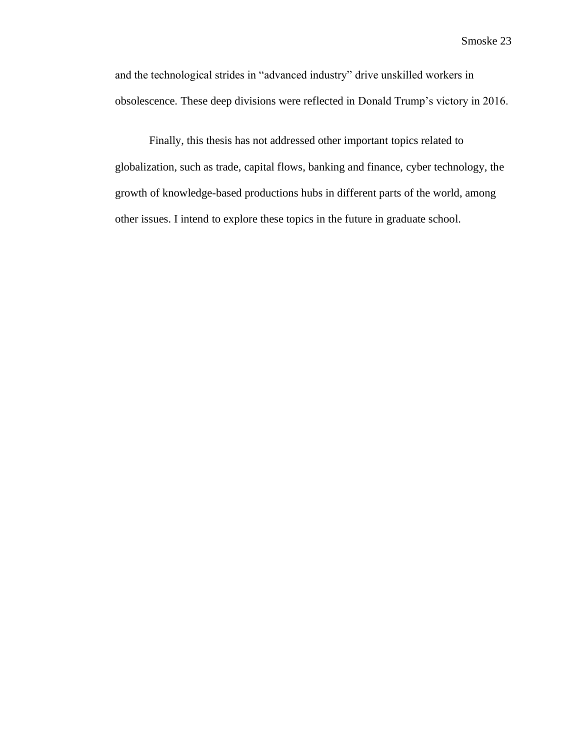and the technological strides in "advanced industry" drive unskilled workers in obsolescence. These deep divisions were reflected in Donald Trump's victory in 2016.

Finally, this thesis has not addressed other important topics related to globalization, such as trade, capital flows, banking and finance, cyber technology, the growth of knowledge-based productions hubs in different parts of the world, among other issues. I intend to explore these topics in the future in graduate school.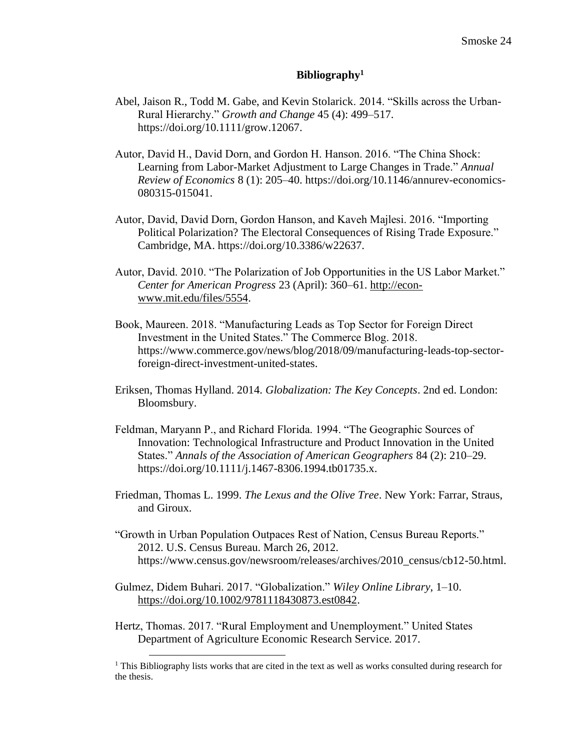## **Bibliography<sup>1</sup>**

- Abel, Jaison R., Todd M. Gabe, and Kevin Stolarick. 2014. "Skills across the Urban-Rural Hierarchy." *Growth and Change* 45 (4): 499–517. https://doi.org/10.1111/grow.12067.
- Autor, David H., David Dorn, and Gordon H. Hanson. 2016. "The China Shock: Learning from Labor-Market Adjustment to Large Changes in Trade." *Annual Review of Economics* 8 (1): 205–40. https://doi.org/10.1146/annurev-economics-080315-015041.
- Autor, David, David Dorn, Gordon Hanson, and Kaveh Majlesi. 2016. "Importing Political Polarization? The Electoral Consequences of Rising Trade Exposure." Cambridge, MA. https://doi.org/10.3386/w22637.
- Autor, David. 2010. "The Polarization of Job Opportunities in the US Labor Market." *Center for American Progress* 23 (April): 360–61. [http://econ](http://econ-www.mit.edu/files/5554)[www.mit.edu/files/5554.](http://econ-www.mit.edu/files/5554)
- Book, Maureen. 2018. "Manufacturing Leads as Top Sector for Foreign Direct Investment in the United States." The Commerce Blog. 2018. https://www.commerce.gov/news/blog/2018/09/manufacturing-leads-top-sectorforeign-direct-investment-united-states.
- Eriksen, Thomas Hylland. 2014. *Globalization: The Key Concepts*. 2nd ed. London: Bloomsbury.
- Feldman, Maryann P., and Richard Florida. 1994. "The Geographic Sources of Innovation: Technological Infrastructure and Product Innovation in the United States." *Annals of the Association of American Geographers* 84 (2): 210–29. https://doi.org/10.1111/j.1467-8306.1994.tb01735.x.
- Friedman, Thomas L. 1999. *The Lexus and the Olive Tree*. New York: Farrar, Straus, and Giroux.
- "Growth in Urban Population Outpaces Rest of Nation, Census Bureau Reports." 2012. U.S. Census Bureau. March 26, 2012. https://www.census.gov/newsroom/releases/archives/2010\_census/cb12-50.html.
- Gulmez, Didem Buhari. 2017. "Globalization." *Wiley Online Library*, 1–10. [https://doi.org/10.1002/9781118430873.est0842.](https://doi.org/10.1002/9781118430873.est0842)
- Hertz, Thomas. 2017. "Rural Employment and Unemployment." United States Department of Agriculture Economic Research Service. 2017.

<sup>&</sup>lt;sup>1</sup> This Bibliography lists works that are cited in the text as well as works consulted during research for the thesis.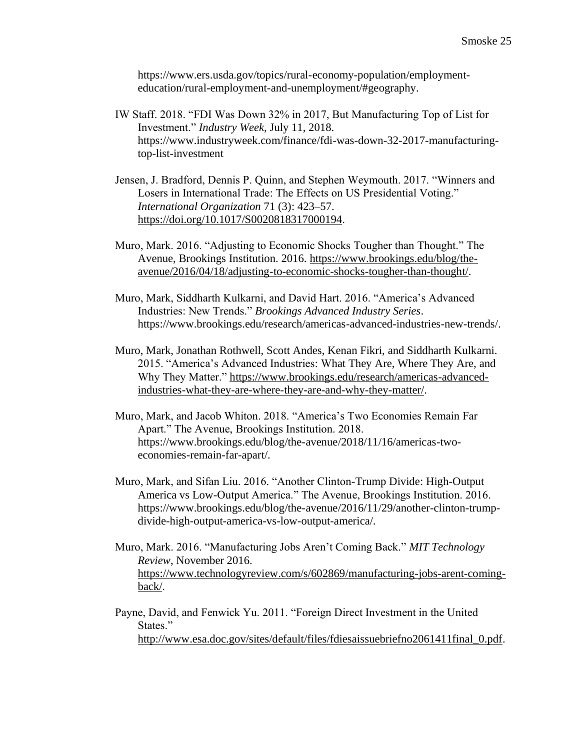https://www.ers.usda.gov/topics/rural-economy-population/employmenteducation/rural-employment-and-unemployment/#geography.

- IW Staff. 2018. "FDI Was Down 32% in 2017, But Manufacturing Top of List for Investment." *Industry Week*, July 11, 2018. https://www.industryweek.com/finance/fdi-was-down-32-2017-manufacturingtop-list-investment
- Jensen, J. Bradford, Dennis P. Quinn, and Stephen Weymouth. 2017. "Winners and Losers in International Trade: The Effects on US Presidential Voting." *International Organization* 71 (3): 423–57. [https://doi.org/10.1017/S0020818317000194.](https://doi.org/10.1017/S0020818317000194)
- Muro, Mark. 2016. "Adjusting to Economic Shocks Tougher than Thought." The Avenue, Brookings Institution. 2016. [https://www.brookings.edu/blog/the](https://www.brookings.edu/blog/the-avenue/2016/04/18/adjusting-to-economic-shocks-tougher-than-thought/)[avenue/2016/04/18/adjusting-to-economic-shocks-tougher-than-thought/.](https://www.brookings.edu/blog/the-avenue/2016/04/18/adjusting-to-economic-shocks-tougher-than-thought/)
- Muro, Mark, Siddharth Kulkarni, and David Hart. 2016. "America's Advanced Industries: New Trends." *Brookings Advanced Industry Series*. https://www.brookings.edu/research/americas-advanced-industries-new-trends/.
- Muro, Mark, Jonathan Rothwell, Scott Andes, Kenan Fikri, and Siddharth Kulkarni. 2015. "America's Advanced Industries: What They Are, Where They Are, and Why They Matter." [https://www.brookings.edu/research/americas-advanced](https://www.brookings.edu/research/americas-advanced-industries-what-they-are-where-they-are-and-why-they-matter/)[industries-what-they-are-where-they-are-and-why-they-matter/.](https://www.brookings.edu/research/americas-advanced-industries-what-they-are-where-they-are-and-why-they-matter/)
- Muro, Mark, and Jacob Whiton. 2018. "America's Two Economies Remain Far Apart." The Avenue, Brookings Institution. 2018. https://www.brookings.edu/blog/the-avenue/2018/11/16/americas-twoeconomies-remain-far-apart/.
- Muro, Mark, and Sifan Liu. 2016. "Another Clinton-Trump Divide: High-Output America vs Low-Output America." The Avenue, Brookings Institution. 2016. https://www.brookings.edu/blog/the-avenue/2016/11/29/another-clinton-trumpdivide-high-output-america-vs-low-output-america/.
- Muro, Mark. 2016. "Manufacturing Jobs Aren't Coming Back." *MIT Technology Review*, November 2016. [https://www.technologyreview.com/s/602869/manufacturing-jobs-arent-coming](https://www.technologyreview.com/s/602869/manufacturing-jobs-arent-coming-back/)[back/.](https://www.technologyreview.com/s/602869/manufacturing-jobs-arent-coming-back/)
- Payne, David, and Fenwick Yu. 2011. "Foreign Direct Investment in the United States." [http://www.esa.doc.gov/sites/default/files/fdiesaissuebriefno2061411final\\_0.pdf.](http://www.esa.doc.gov/sites/default/files/fdiesaissuebriefno2061411final_0.pdf)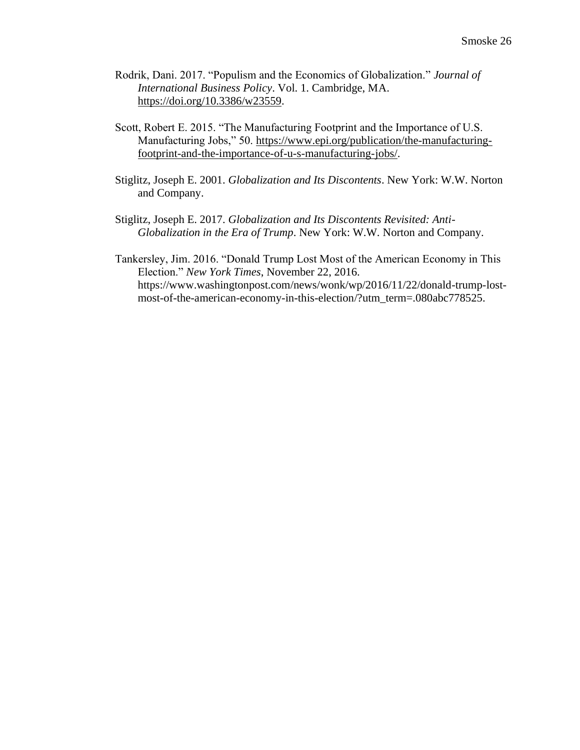- Rodrik, Dani. 2017. "Populism and the Economics of Globalization." *Journal of International Business Policy*. Vol. 1. Cambridge, MA. [https://doi.org/10.3386/w23559.](https://doi.org/10.3386/w23559)
- Scott, Robert E. 2015. "The Manufacturing Footprint and the Importance of U.S. Manufacturing Jobs," 50. [https://www.epi.org/publication/the-manufacturing](https://www.epi.org/publication/the-manufacturing-footprint-and-the-importance-of-u-s-manufacturing-jobs/)[footprint-and-the-importance-of-u-s-manufacturing-jobs/.](https://www.epi.org/publication/the-manufacturing-footprint-and-the-importance-of-u-s-manufacturing-jobs/)
- Stiglitz, Joseph E. 2001. *Globalization and Its Discontents*. New York: W.W. Norton and Company.
- Stiglitz, Joseph E. 2017. *Globalization and Its Discontents Revisited: Anti-Globalization in the Era of Trump*. New York: W.W. Norton and Company.
- Tankersley, Jim. 2016. "Donald Trump Lost Most of the American Economy in This Election." *New York Times*, November 22, 2016. https://www.washingtonpost.com/news/wonk/wp/2016/11/22/donald-trump-lostmost-of-the-american-economy-in-this-election/?utm\_term=.080abc778525.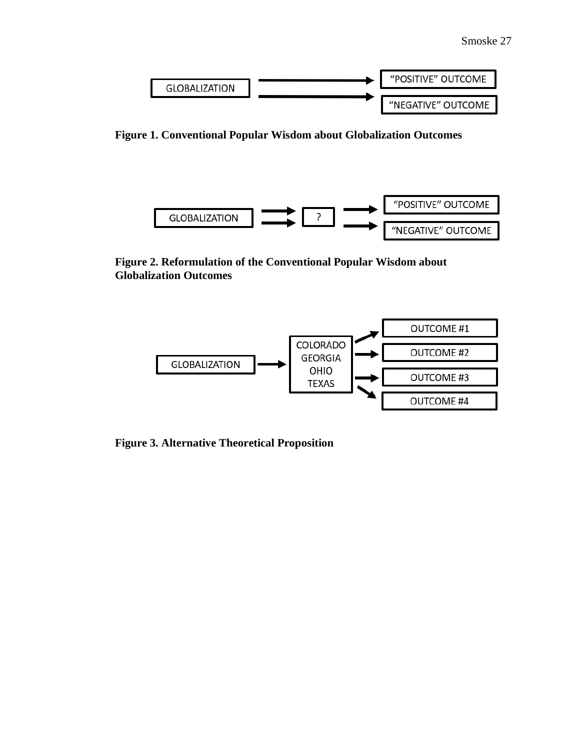

**Figure 1. Conventional Popular Wisdom about Globalization Outcomes**



**Figure 2. Reformulation of the Conventional Popular Wisdom about Globalization Outcomes**



**Figure 3. Alternative Theoretical Proposition**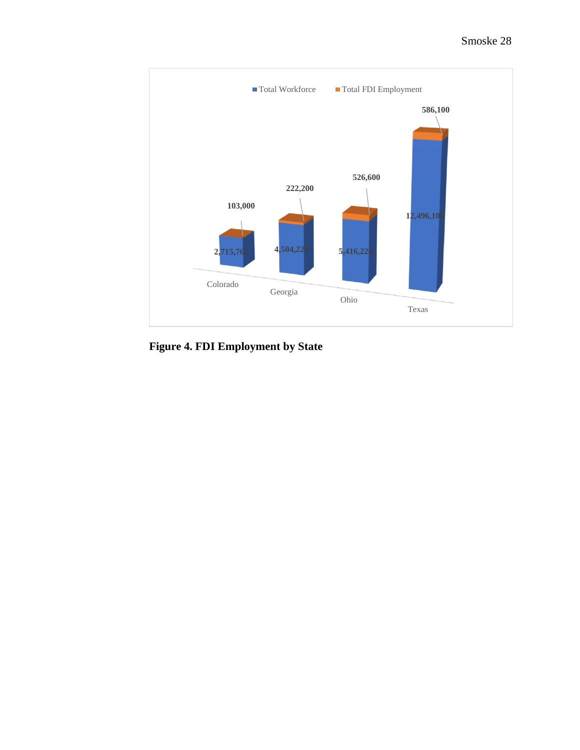

**Figure 4. FDI Employment by State**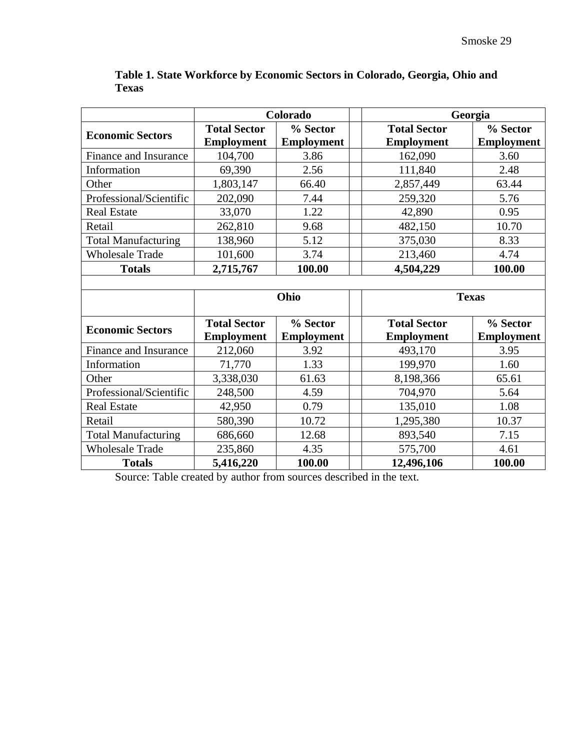|                              | Colorado            |                   | Georgia             |                   |
|------------------------------|---------------------|-------------------|---------------------|-------------------|
| <b>Economic Sectors</b>      | <b>Total Sector</b> | % Sector          | <b>Total Sector</b> | % Sector          |
|                              | <b>Employment</b>   | <b>Employment</b> | <b>Employment</b>   | <b>Employment</b> |
| <b>Finance and Insurance</b> | 104,700             | 3.86              | 162,090             | 3.60              |
| Information                  | 69,390              | 2.56              | 111,840             | 2.48              |
| Other                        | 1,803,147           | 66.40             | 2,857,449           | 63.44             |
| Professional/Scientific      | 202,090             | 7.44              | 259,320             | 5.76              |
| <b>Real Estate</b>           | 33,070              | 1.22              | 42,890              | 0.95              |
| Retail                       | 262,810             | 9.68              | 482,150             | 10.70             |
| <b>Total Manufacturing</b>   | 138,960             | 5.12              | 375,030             | 8.33              |
| <b>Wholesale Trade</b>       | 101,600             | 3.74              | 213,460             | 4.74              |
| <b>Totals</b>                | 2,715,767           | 100.00            | 4,504,229           | 100.00            |
|                              |                     |                   |                     |                   |
|                              | Ohio                |                   | <b>Texas</b>        |                   |
|                              | <b>Total Sector</b> | % Sector          | <b>Total Sector</b> | % Sector          |
| <b>Economic Sectors</b>      | <b>Employment</b>   | <b>Employment</b> | <b>Employment</b>   | <b>Employment</b> |
| <b>Finance and Insurance</b> | 212,060             | 3.92              | 493,170             | 3.95              |
| Information                  | 71,770              | 1.33              | 199,970             | 1.60              |
| Other                        | 3,338,030           | 61.63             | 8,198,366           | 65.61             |
| Professional/Scientific      | 248,500             | 4.59              | 704,970             | 5.64              |
| <b>Real Estate</b>           | 42,950              | 0.79              | 135,010             | 1.08              |
| Retail                       | 580,390             | 10.72             | 1,295,380           | 10.37             |
| <b>Total Manufacturing</b>   | 686,660             | 12.68             | 893,540             | 7.15              |
| <b>Wholesale Trade</b>       | 235,860             | 4.35              | 575,700             | 4.61              |
| <b>Totals</b>                | 5,416,220           | 100.00            | 12,496,106          | 100.00            |

**Table 1. State Workforce by Economic Sectors in Colorado, Georgia, Ohio and Texas**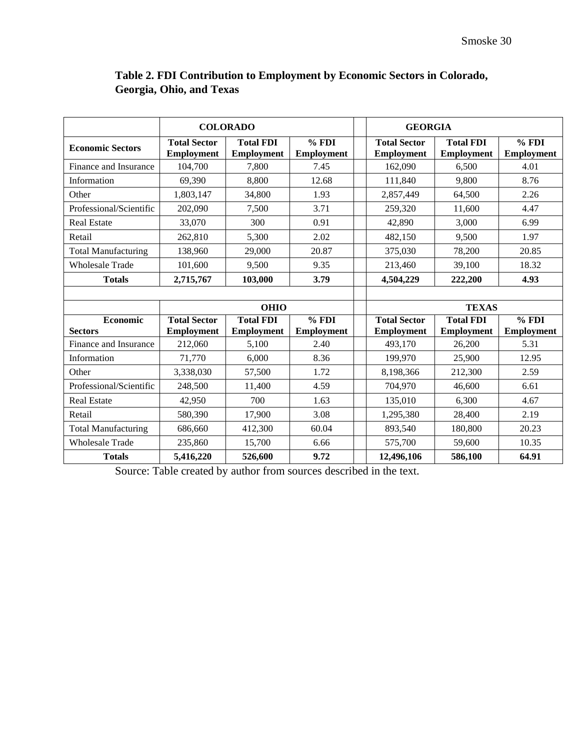|                            | <b>COLORADO</b>                          |                                       |                            | <b>GEORGIA</b>                           |                                       |                            |
|----------------------------|------------------------------------------|---------------------------------------|----------------------------|------------------------------------------|---------------------------------------|----------------------------|
| <b>Economic Sectors</b>    | <b>Total Sector</b><br><b>Employment</b> | <b>Total FDI</b><br><b>Employment</b> | % FDI<br><b>Employment</b> | <b>Total Sector</b><br><b>Employment</b> | <b>Total FDI</b><br><b>Employment</b> | % FDI<br><b>Employment</b> |
| Finance and Insurance      | 104,700                                  | 7,800                                 | 7.45                       | 162,090                                  | 6,500                                 | 4.01                       |
| Information                | 69,390                                   | 8,800                                 | 12.68                      | 111,840                                  | 9,800                                 | 8.76                       |
| Other                      | 1,803,147                                | 34,800                                | 1.93                       | 2,857,449                                | 64,500                                | 2.26                       |
| Professional/Scientific    | 202,090                                  | 7,500                                 | 3.71                       | 259,320                                  | 11,600                                | 4.47                       |
| <b>Real Estate</b>         | 33,070                                   | 300                                   | 0.91                       | 42,890                                   | 3,000                                 | 6.99                       |
| Retail                     | 262,810                                  | 5,300                                 | 2.02                       | 482,150                                  | 9.500                                 | 1.97                       |
| <b>Total Manufacturing</b> | 138,960                                  | 29,000                                | 20.87                      | 375,030                                  | 78,200                                | 20.85                      |
| <b>Wholesale Trade</b>     | 101,600                                  | 9,500                                 | 9.35                       | 213,460                                  | 39,100                                | 18.32                      |
| <b>Totals</b>              | 2,715,767                                | 103,000                               | 3.79                       | 4,504,229                                | 222,200                               | 4.93                       |
|                            |                                          |                                       |                            |                                          |                                       |                            |
|                            |                                          | <b>OHIO</b>                           |                            | <b>TEXAS</b>                             |                                       |                            |
| <b>Economic</b>            | <b>Total Sector</b>                      | <b>Total FDI</b>                      | % FDI                      | <b>Total Sector</b><br><b>Total FDI</b>  |                                       | % FDI                      |
| <b>Sectors</b>             | <b>Employment</b>                        | <b>Employment</b>                     | <b>Employment</b>          | <b>Employment</b>                        | <b>Employment</b>                     | <b>Employment</b>          |
| Finance and Insurance      | 212,060                                  | 5,100                                 | 2.40                       | 493,170                                  | 26,200                                | 5.31                       |
| Information                | 71,770                                   | 6.000                                 | 8.36                       | 199,970                                  | 25,900                                | 12.95                      |
| Other                      | 3,338,030                                | 57,500                                | 1.72                       | 8,198,366                                | 212,300                               | 2.59                       |
| Professional/Scientific    | 248,500                                  | 11,400                                | 4.59                       | 704,970                                  | 46,600                                | 6.61                       |
| <b>Real Estate</b>         | 42,950                                   | 700                                   | 1.63                       | 135,010                                  | 6,300                                 | 4.67                       |
| Retail                     | 580,390                                  | 17,900                                | 3.08                       | 1,295,380                                | 28,400                                | 2.19                       |
| <b>Total Manufacturing</b> | 686,660                                  | 412,300                               | 60.04                      | 893,540                                  | 180,800                               | 20.23                      |
| <b>Wholesale Trade</b>     | 235,860                                  | 15,700                                | 6.66                       | 575,700                                  | 59,600                                | 10.35                      |
| <b>Totals</b>              | 5,416,220                                | 526,600                               | 9.72                       | 12,496,106                               | 586,100                               | 64.91                      |

# **Table 2. FDI Contribution to Employment by Economic Sectors in Colorado, Georgia, Ohio, and Texas**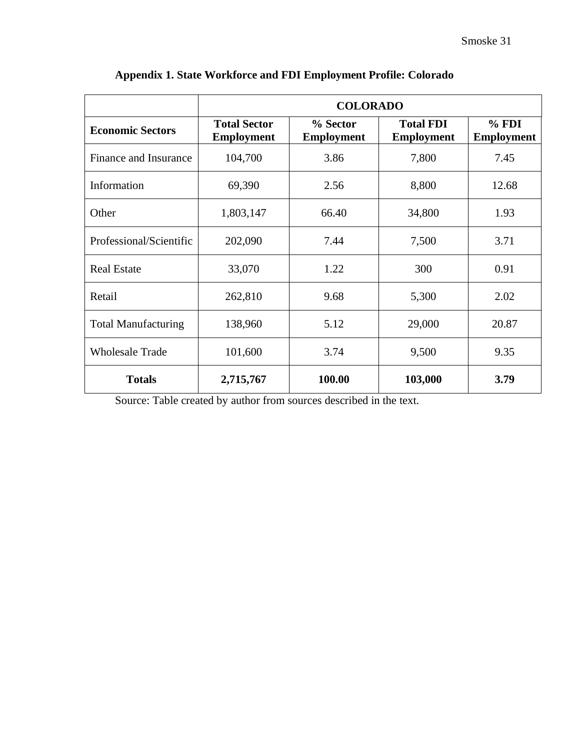|                            | <b>COLORADO</b>                          |                               |                                       |                            |
|----------------------------|------------------------------------------|-------------------------------|---------------------------------------|----------------------------|
| <b>Economic Sectors</b>    | <b>Total Sector</b><br><b>Employment</b> | % Sector<br><b>Employment</b> | <b>Total FDI</b><br><b>Employment</b> | % FDI<br><b>Employment</b> |
| Finance and Insurance      | 104,700                                  | 3.86                          | 7,800                                 | 7.45                       |
| Information                | 69,390                                   | 2.56                          | 8,800                                 | 12.68                      |
| Other                      | 1,803,147                                | 66.40                         | 34,800                                | 1.93                       |
| Professional/Scientific    | 202,090                                  | 7.44                          | 7,500                                 | 3.71                       |
| <b>Real Estate</b>         | 33,070                                   | 1.22                          | 300                                   | 0.91                       |
| Retail                     | 262,810                                  | 9.68                          | 5,300                                 | 2.02                       |
| <b>Total Manufacturing</b> | 138,960                                  | 5.12                          | 29,000                                | 20.87                      |
| <b>Wholesale Trade</b>     | 101,600                                  | 3.74                          | 9,500                                 | 9.35                       |
| <b>Totals</b>              | 2,715,767                                | 100.00                        | 103,000                               | 3.79                       |

# **Appendix 1. State Workforce and FDI Employment Profile: Colorado**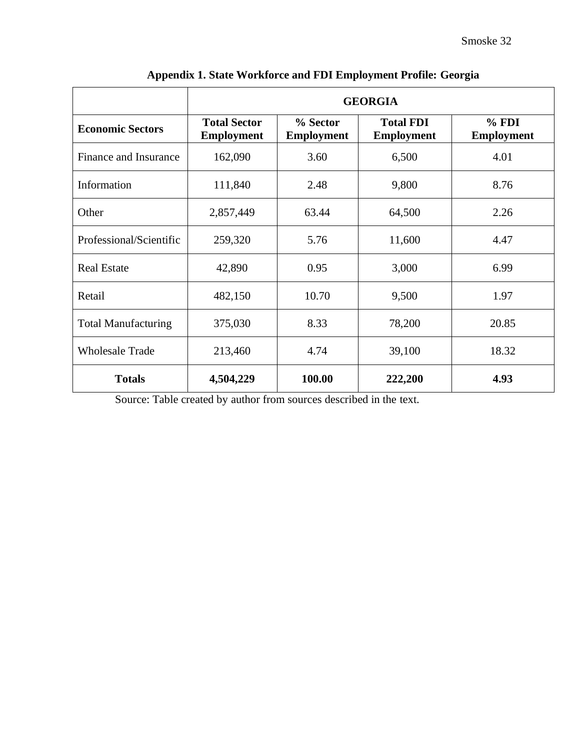|                            | <b>GEORGIA</b>                           |                               |                                       |                            |
|----------------------------|------------------------------------------|-------------------------------|---------------------------------------|----------------------------|
| <b>Economic Sectors</b>    | <b>Total Sector</b><br><b>Employment</b> | % Sector<br><b>Employment</b> | <b>Total FDI</b><br><b>Employment</b> | % FDI<br><b>Employment</b> |
| Finance and Insurance      | 162,090                                  | 3.60                          | 6,500                                 | 4.01                       |
| Information                | 111,840                                  | 2.48                          | 9,800                                 | 8.76                       |
| Other                      | 2,857,449                                | 63.44                         | 64,500                                | 2.26                       |
| Professional/Scientific    | 259,320                                  | 5.76                          | 11,600                                | 4.47                       |
| <b>Real Estate</b>         | 42,890                                   | 0.95                          | 3,000                                 | 6.99                       |
| Retail                     | 482,150                                  | 10.70                         | 9,500                                 | 1.97                       |
| <b>Total Manufacturing</b> | 375,030                                  | 8.33                          | 78,200                                | 20.85                      |
| <b>Wholesale Trade</b>     | 213,460                                  | 4.74                          | 39,100                                | 18.32                      |
| <b>Totals</b>              | 4,504,229                                | 100.00                        | 222,200                               | 4.93                       |

| Appendix 1. State Workforce and FDI Employment Profile: Georgia |  |  |
|-----------------------------------------------------------------|--|--|
|                                                                 |  |  |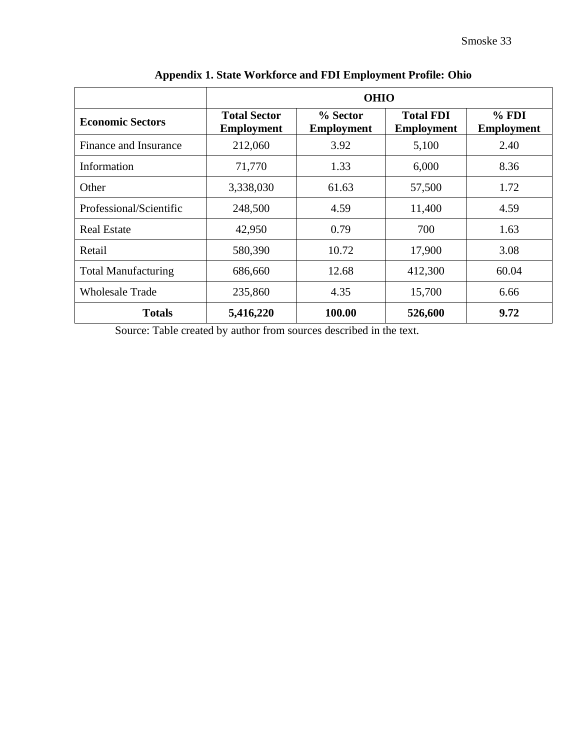|                            | <b>OHIO</b>                              |                               |                                       |                            |
|----------------------------|------------------------------------------|-------------------------------|---------------------------------------|----------------------------|
| <b>Economic Sectors</b>    | <b>Total Sector</b><br><b>Employment</b> | % Sector<br><b>Employment</b> | <b>Total FDI</b><br><b>Employment</b> | % FDI<br><b>Employment</b> |
| Finance and Insurance      | 212,060                                  | 3.92                          | 5,100                                 | 2.40                       |
| Information                | 71,770                                   | 1.33                          | 6,000                                 | 8.36                       |
| Other                      | 3,338,030                                | 61.63                         | 57,500                                | 1.72                       |
| Professional/Scientific    | 248,500                                  | 4.59                          | 11,400                                | 4.59                       |
| <b>Real Estate</b>         | 42,950                                   | 0.79                          | 700                                   | 1.63                       |
| Retail                     | 580,390                                  | 10.72                         | 17,900                                | 3.08                       |
| <b>Total Manufacturing</b> | 686,660                                  | 12.68                         | 412,300                               | 60.04                      |
| <b>Wholesale Trade</b>     | 235,860                                  | 4.35                          | 15,700                                | 6.66                       |
| <b>Totals</b>              | 5,416,220                                | 100.00                        | 526,600                               | 9.72                       |

**Appendix 1. State Workforce and FDI Employment Profile: Ohio**